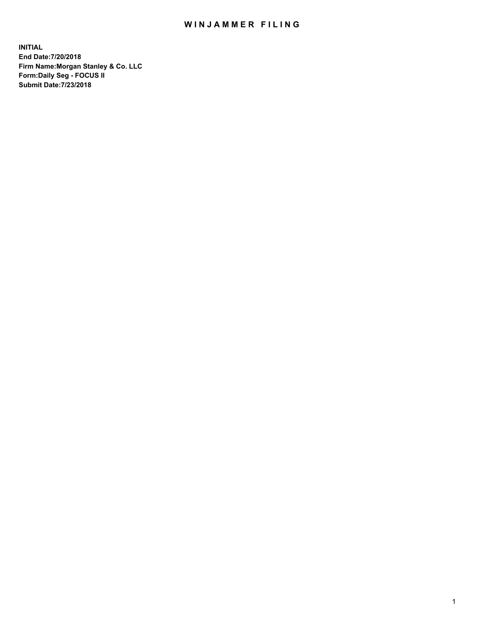## WIN JAMMER FILING

**INITIAL End Date:7/20/2018 Firm Name:Morgan Stanley & Co. LLC Form:Daily Seg - FOCUS II Submit Date:7/23/2018**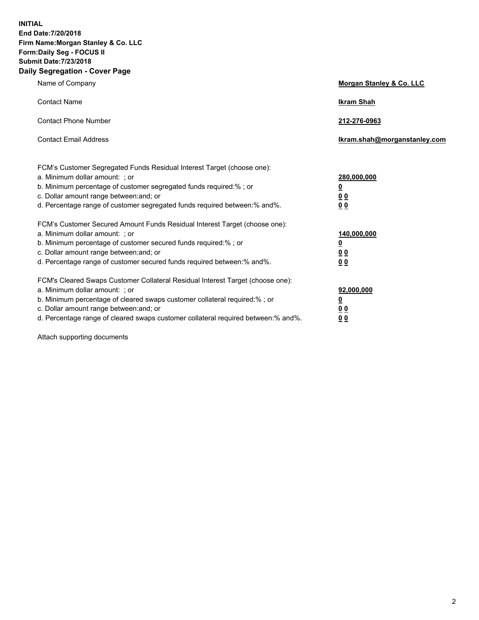**INITIAL End Date:7/20/2018 Firm Name:Morgan Stanley & Co. LLC Form:Daily Seg - FOCUS II Submit Date:7/23/2018 Daily Segregation - Cover Page**

| Name of Company                                                                                                        | Morgan Stanley & Co. LLC     |
|------------------------------------------------------------------------------------------------------------------------|------------------------------|
| <b>Contact Name</b>                                                                                                    | <b>Ikram Shah</b>            |
| <b>Contact Phone Number</b>                                                                                            | 212-276-0963                 |
| <b>Contact Email Address</b>                                                                                           | Ikram.shah@morganstanley.com |
| FCM's Customer Segregated Funds Residual Interest Target (choose one):                                                 |                              |
| a. Minimum dollar amount: ; or                                                                                         | 280,000,000                  |
| b. Minimum percentage of customer segregated funds required:% ; or                                                     | <u>0</u>                     |
| c. Dollar amount range between: and; or<br>d. Percentage range of customer segregated funds required between: % and %. | <u>0 0</u><br>0 Q            |
| FCM's Customer Secured Amount Funds Residual Interest Target (choose one):                                             |                              |
| a. Minimum dollar amount: ; or                                                                                         | 140,000,000                  |
| b. Minimum percentage of customer secured funds required:%; or                                                         | <u>0</u>                     |
| c. Dollar amount range between: and; or                                                                                | 0 <sub>0</sub>               |
| d. Percentage range of customer secured funds required between:% and%.                                                 | 0 <sub>0</sub>               |
| FCM's Cleared Swaps Customer Collateral Residual Interest Target (choose one):                                         |                              |
| a. Minimum dollar amount: ; or                                                                                         | 92,000,000                   |
| b. Minimum percentage of cleared swaps customer collateral required:% ; or                                             | <u>0</u>                     |
| c. Dollar amount range between: and; or                                                                                | 0 Q                          |
| d. Percentage range of cleared swaps customer collateral required between:% and%.                                      | 00                           |

Attach supporting documents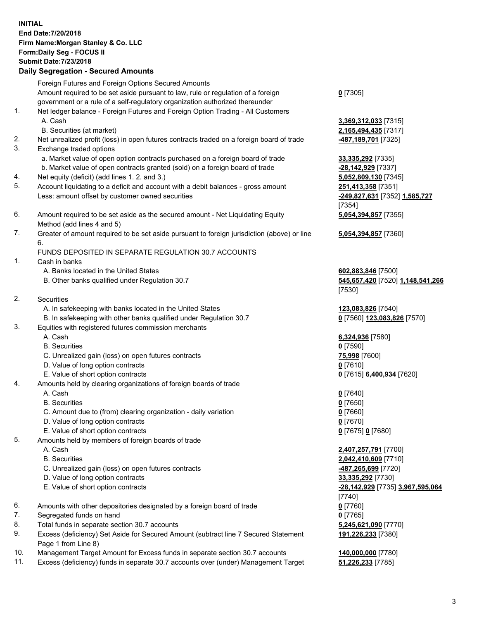## **INITIAL End Date:7/20/2018 Firm Name:Morgan Stanley & Co. LLC Form:Daily Seg - FOCUS II Submit Date:7/23/2018 Daily Segregation - Secured Amounts** Foreign Futures and Foreign Options Secured Amounts Amount required to be set aside pursuant to law, rule or regulation of a foreign government or a rule of a self-regulatory organization authorized thereunder **0** [7305] 1. Net ledger balance - Foreign Futures and Foreign Option Trading - All Customers A. Cash **3,369,312,033** [7315] B. Securities (at market) **2,165,494,435** [7317] 2. Net unrealized profit (loss) in open futures contracts traded on a foreign board of trade **-487,189,701** [7325] 3. Exchange traded options a. Market value of open option contracts purchased on a foreign board of trade **33,335,292** [7335] b. Market value of open contracts granted (sold) on a foreign board of trade **-28,142,929** [7337] 4. Net equity (deficit) (add lines 1. 2. and 3.) **5,052,809,130** [7345] 5. Account liquidating to a deficit and account with a debit balances - gross amount **251,413,358** [7351] Less: amount offset by customer owned securities **-249,827,631** [7352] **1,585,727** [7354] 6. Amount required to be set aside as the secured amount - Net Liquidating Equity Method (add lines 4 and 5) **5,054,394,857** [7355] 7. Greater of amount required to be set aside pursuant to foreign jurisdiction (above) or line 6. **5,054,394,857** [7360] FUNDS DEPOSITED IN SEPARATE REGULATION 30.7 ACCOUNTS 1. Cash in banks A. Banks located in the United States **602,883,846** [7500] B. Other banks qualified under Regulation 30.7 **545,657,420** [7520] **1,148,541,266** [7530] 2. Securities A. In safekeeping with banks located in the United States **123,083,826** [7540] B. In safekeeping with other banks qualified under Regulation 30.7 **0** [7560] **123,083,826** [7570] 3. Equities with registered futures commission merchants A. Cash **6,324,936** [7580] B. Securities **0** [7590] C. Unrealized gain (loss) on open futures contracts **75,998** [7600] D. Value of long option contracts **0** [7610] E. Value of short option contracts **0** [7615] **6,400,934** [7620] 4. Amounts held by clearing organizations of foreign boards of trade A. Cash **0** [7640] B. Securities **0** [7650] C. Amount due to (from) clearing organization - daily variation **0** [7660] D. Value of long option contracts **0** [7670] E. Value of short option contracts **0** [7675] **0** [7680] 5. Amounts held by members of foreign boards of trade A. Cash **2,407,257,791** [7700] B. Securities **2,042,410,609** [7710] C. Unrealized gain (loss) on open futures contracts **-487,265,699** [7720] D. Value of long option contracts **33,335,292** [7730] E. Value of short option contracts **-28,142,929** [7735] **3,967,595,064** [7740] 6. Amounts with other depositories designated by a foreign board of trade **0** [7760] 7. Segregated funds on hand **0** [7765]

- 8. Total funds in separate section 30.7 accounts **5,245,621,090** [7770]
- 9. Excess (deficiency) Set Aside for Secured Amount (subtract line 7 Secured Statement Page 1 from Line 8)
- 10. Management Target Amount for Excess funds in separate section 30.7 accounts **140,000,000** [7780]
- 11. Excess (deficiency) funds in separate 30.7 accounts over (under) Management Target **51,226,233** [7785]

3

**191,226,233** [7380]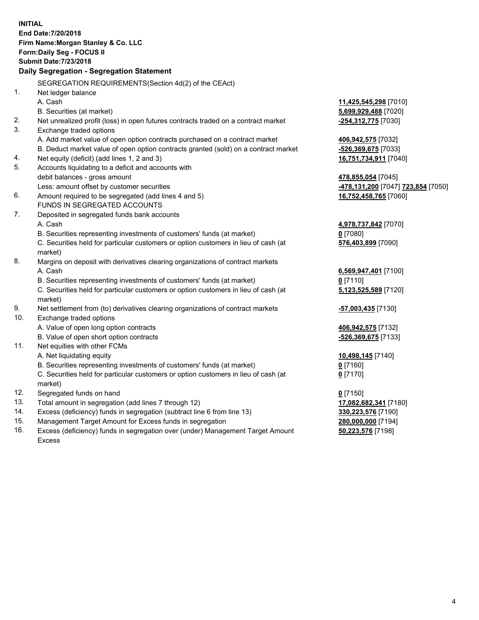**INITIAL End Date:7/20/2018 Firm Name:Morgan Stanley & Co. LLC Form:Daily Seg - FOCUS II Submit Date:7/23/2018 Daily Segregation - Segregation Statement** SEGREGATION REQUIREMENTS(Section 4d(2) of the CEAct) 1. Net ledger balance A. Cash **11,425,545,298** [7010] B. Securities (at market) **5,699,929,488** [7020] 2. Net unrealized profit (loss) in open futures contracts traded on a contract market **-254,312,775** [7030] 3. Exchange traded options A. Add market value of open option contracts purchased on a contract market **406,942,575** [7032] B. Deduct market value of open option contracts granted (sold) on a contract market **-526,369,675** [7033] 4. Net equity (deficit) (add lines 1, 2 and 3) **16,751,734,911** [7040] 5. Accounts liquidating to a deficit and accounts with debit balances - gross amount **478,855,054** [7045] Less: amount offset by customer securities **-478,131,200** [7047] **723,854** [7050] 6. Amount required to be segregated (add lines 4 and 5) **16,752,458,765** [7060] FUNDS IN SEGREGATED ACCOUNTS 7. Deposited in segregated funds bank accounts A. Cash **4,978,737,842** [7070] B. Securities representing investments of customers' funds (at market) **0** [7080] C. Securities held for particular customers or option customers in lieu of cash (at market) **576,403,899** [7090] 8. Margins on deposit with derivatives clearing organizations of contract markets A. Cash **6,569,947,401** [7100] B. Securities representing investments of customers' funds (at market) **0** [7110] C. Securities held for particular customers or option customers in lieu of cash (at market) **5,123,525,589** [7120] 9. Net settlement from (to) derivatives clearing organizations of contract markets **-57,003,435** [7130] 10. Exchange traded options A. Value of open long option contracts **406,942,575** [7132] B. Value of open short option contracts **-526,369,675** [7133] 11. Net equities with other FCMs A. Net liquidating equity **10,498,145** [7140] B. Securities representing investments of customers' funds (at market) **0** [7160] C. Securities held for particular customers or option customers in lieu of cash (at market) **0** [7170] 12. Segregated funds on hand **0** [7150] 13. Total amount in segregation (add lines 7 through 12) **17,082,682,341** [7180] 14. Excess (deficiency) funds in segregation (subtract line 6 from line 13) **330,223,576** [7190] 15. Management Target Amount for Excess funds in segregation **280,000,000** [7194] 16. Excess (deficiency) funds in segregation over (under) Management Target Amount **50,223,576** [7198]

Excess